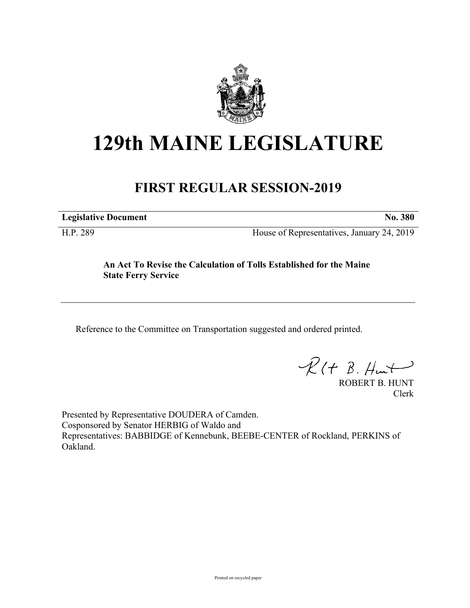

# **129th MAINE LEGISLATURE**

## **FIRST REGULAR SESSION-2019**

**Legislative Document No. 380**

H.P. 289 House of Representatives, January 24, 2019

**An Act To Revise the Calculation of Tolls Established for the Maine State Ferry Service**

Reference to the Committee on Transportation suggested and ordered printed.

 $R(t B. Hmt)$ 

ROBERT B. HUNT Clerk

Presented by Representative DOUDERA of Camden. Cosponsored by Senator HERBIG of Waldo and Representatives: BABBIDGE of Kennebunk, BEEBE-CENTER of Rockland, PERKINS of Oakland.